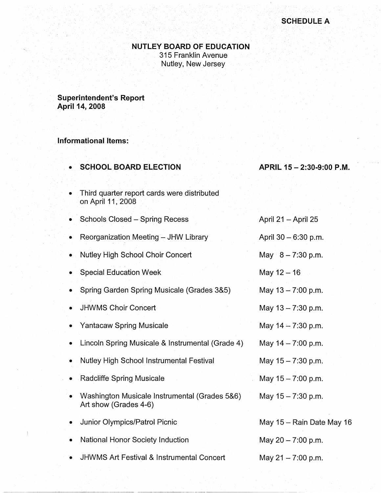### **NUTLEY BOARD OF EDUCATION**

. 315 Franklin Avenue Nutley, New Jersey

**Superintendent's Report April 14, 2008** 

## **Informational Items:**

• **SCHOOL BOARD ELECTION** 

#### **APRIL 15-2:30-9:00 P.M.**

April 21 - April 25

- Third quarter report cards were distributed . on April 11 , 2008
- Schools Closed Spring Recess
- Reorganization Meeting JHW Library
- Nutley High School Choir Concert
- Special Education Week
- Spring Garden Spring Musicale (Grades 3&5)
- JHWMS Choir Concert
- Yantacaw Spring Musicale
- Lincoln Spring Musicale & Instrumental (Grade 4)
- Nutley High School Instrumental Festival
- Radcliffe Spring Musicale
- Washington Musicale Instrumental (Grades 5&6) Art show (Grades 4-6)
- Junior Olympics/Patrol Picnic
- National Honor Society Induction
- JHWMS Art Festival & Instrumental Concert

| ADIII Z I – ADIII ZU      |
|---------------------------|
| April 30 - 6:30 p.m.      |
| May $8 - 7:30$ p.m.       |
| May 12 - 16               |
| May 13 - 7:00 p.m.        |
| May 13 - 7:30 p.m.        |
| May 14 - 7:30 p.m.        |
| May 14 - 7:00 p.m.        |
| May 15 - 7:30 p.m.        |
| May 15 - 7:00 p.m.        |
| May 15 - 7:30 p.m.        |
|                           |
| May 15 - Rain Date May 16 |
| May 20 - 7:00 p.m.        |

May  $21 - 7:00$  p.m.